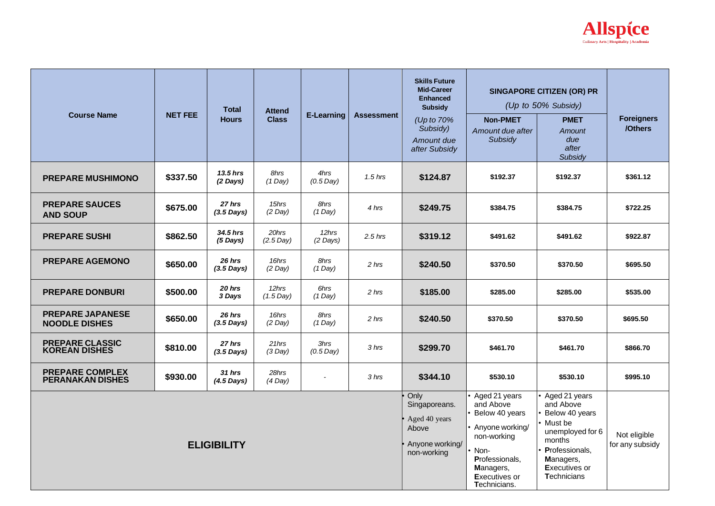

| <b>Course Name</b>                                | <b>NET FEE</b> | <b>Total</b><br><b>Hours</b> | <b>Attend</b><br><b>Class</b> | <b>E-Learning</b>      | <b>Assessment</b> | <b>Skills Future</b><br><b>Mid-Career</b><br><b>Enhanced</b><br><b>Subsidy</b><br>(Up to 70%<br>Subsidy)<br>Amount due<br>after Subsidy | <b>Non-PMET</b><br>Amount due after<br>Subsidy                                                                                                                | <b>SINGAPORE CITIZEN (OR) PR</b><br>(Up to 50% Subsidy)<br><b>PMET</b><br><b>Amount</b><br>due<br>after<br>Subsidy                                                 | <b>Foreigners</b><br>/Others    |
|---------------------------------------------------|----------------|------------------------------|-------------------------------|------------------------|-------------------|-----------------------------------------------------------------------------------------------------------------------------------------|---------------------------------------------------------------------------------------------------------------------------------------------------------------|--------------------------------------------------------------------------------------------------------------------------------------------------------------------|---------------------------------|
| <b>PREPARE MUSHIMONO</b>                          | \$337.50       | $13.5$ hrs<br>$(2$ Days)     | 8hrs<br>$(1$ Day)             | 4hrs<br>$(0.5$ Day $)$ | $1.5$ hrs         | \$124.87                                                                                                                                | \$192.37                                                                                                                                                      | \$192.37                                                                                                                                                           | \$361.12                        |
| <b>PREPARE SAUCES</b><br><b>AND SOUP</b>          | \$675.00       | 27 hrs<br>$(3.5$ Days)       | 15hrs<br>$(2$ Day)            | 8hrs<br>$(1$ Day)      | 4 hrs             | \$249.75                                                                                                                                | \$384.75                                                                                                                                                      | \$384.75                                                                                                                                                           | \$722.25                        |
| <b>PREPARE SUSHI</b>                              | \$862.50       | 34.5 hrs<br>$(5$ Days)       | 20hrs<br>$(2.5$ Day)          | 12hrs<br>$(2$ Days)    | $2.5$ hrs         | \$319.12                                                                                                                                | \$491.62                                                                                                                                                      | \$491.62                                                                                                                                                           | \$922.87                        |
| <b>PREPARE AGEMONO</b>                            | \$650.00       | 26 hrs<br>$(3.5$ Days)       | 16hrs<br>$(2$ Day)            | 8hrs<br>$(1$ Day)      | 2 hrs             | \$240.50                                                                                                                                | \$370.50                                                                                                                                                      | \$370.50                                                                                                                                                           | \$695.50                        |
| <b>PREPARE DONBURI</b>                            | \$500.00       | 20 hrs<br>3 Days             | 12hrs<br>$(1.5$ Day)          | 6hrs<br>$(1$ Day)      | 2 hrs             | \$185.00                                                                                                                                | \$285.00                                                                                                                                                      | \$285.00                                                                                                                                                           | \$535.00                        |
| <b>PREPARE JAPANESE</b><br><b>NOODLE DISHES</b>   | \$650.00       | 26 hrs<br>$(3.5$ Days)       | 16hrs<br>$(2$ Day)            | 8hrs<br>$(1$ Day)      | 2 hrs             | \$240.50                                                                                                                                | \$370.50                                                                                                                                                      | \$370.50                                                                                                                                                           | \$695.50                        |
| <b>PREPARE CLASSIC</b><br><b>KOREAN DISHES</b>    | \$810.00       | 27 hrs<br>$(3.5$ Days)       | 21hrs<br>$(3$ Day)            | 3hrs<br>$(0.5$ Day $)$ | 3 hrs             | \$299.70                                                                                                                                | \$461.70                                                                                                                                                      | \$461.70                                                                                                                                                           | \$866.70                        |
| <b>PREPARE COMPLEX</b><br><b>PERANAKAN DISHES</b> | \$930.00       | 31 hrs<br>$(4.5$ Days)       | 28hrs<br>$(4$ Day $)$         | $\sim$                 | 3 hrs             | \$344.10                                                                                                                                | \$530.10                                                                                                                                                      | \$530.10                                                                                                                                                           | \$995.10                        |
| <b>ELIGIBILITY</b>                                |                |                              |                               |                        |                   | Only<br>Singaporeans.<br>Aged 40 years<br>Above<br>Anyone working/<br>non-working                                                       | Aged 21 years<br>and Above<br>Below 40 years<br>Anyone working/<br>non-working<br>Non-<br>Professionals,<br>Managers,<br><b>Executives or</b><br>Technicians. | Aged 21 years<br>and Above<br>Below 40 years<br>Must be<br>unemployed for 6<br>months<br>Professionals,<br>Managers,<br><b>Executives or</b><br><b>Technicians</b> | Not eligible<br>for any subsidy |